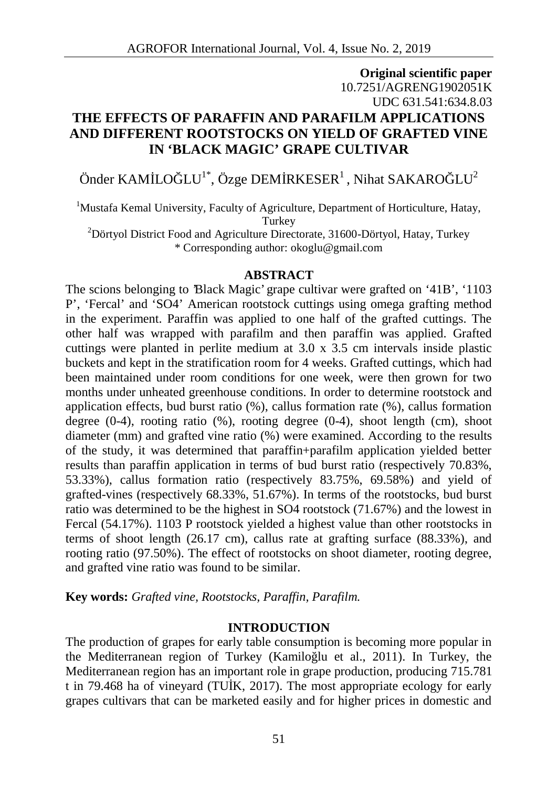# **Original scientific paper** 10.7251/AGRENG1902051K UDC 631.541:634.8.03 **THE EFFECTS OF PARAFFIN AND PARAFILM APPLICATIONS AND DIFFERENT ROOTSTOCKS ON YIELD OF GRAFTED VINE IN 'BLACK MAGIC' GRAPE CULTIVAR**

# Önder KAM LO  $\text{LU}^{1*}$ , Özge DEM RKESER<sup>1</sup>, Nihat SAKARO  $\text{LU}^2$

<sup>1</sup>Mustafa Kemal University, Faculty of Agriculture, Department of Horticulture, Hatay, **Turkey** 

 $2D$ örtyol District Food and Agriculture Directorate, 31600-Dörtyol, Hatay, Turkey \* Corresponding author: okoglu@gmail.com

#### **ABSTRACT**

The scions belonging to 'Black Magic' grape cultivar were grafted on '41B', '1103 P', 'Fercal' and 'SO4' American rootstock cuttings using omega grafting method in the experiment. Paraffin was applied to one half of the grafted cuttings. The other half was wrapped with parafilm and then paraffin was applied. Grafted cuttings were planted in perlite medium at 3.0 x 3.5 cm intervals inside plastic buckets and kept in the stratification room for 4 weeks. Grafted cuttings, which had been maintained under room conditions for one week, were then grown for two months under unheated greenhouse conditions. In order to determine rootstock and application effects, bud burst ratio (%), callus formation rate (%), callus formation degree  $(0-4)$ , rooting ratio  $(\%)$ , rooting degree  $(0-4)$ , shoot length (cm), shoot diameter (mm) and grafted vine ratio (%) were examined. According to the results of the study, it was determined that paraffin+parafilm application yielded better results than paraffin application in terms of bud burst ratio (respectively 70.83%, 53.33%), callus formation ratio (respectively 83.75%, 69.58%) and yield of grafted-vines (respectively 68.33%, 51.67%). In terms of the rootstocks, bud burst ratio was determined to be the highest in SO4 rootstock (71.67%) and the lowest in Fercal (54.17%). 1103 P rootstock yielded a highest value than other rootstocks in terms of shoot length (26.17 cm), callus rate at grafting surface (88.33%), and rooting ratio (97.50%). The effect of rootstocks on shoot diameter, rooting degree, and grafted vine ratio was found to be similar.

**Key words:** *Grafted vine, Rootstocks, Paraffin, Parafilm.*

### **INTRODUCTION**

The production of grapes for early table consumption is becoming more popular in the Mediterranean region of Turkey (Kamilo lu et al., 2011). In Turkey, the Mediterranean region has an important role in grape production, producing 715.781 t in 79.468 ha of vineyard (TU $K$ , 2017). The most appropriate ecology for early grapes cultivars that can be marketed easily and for higher prices in domestic and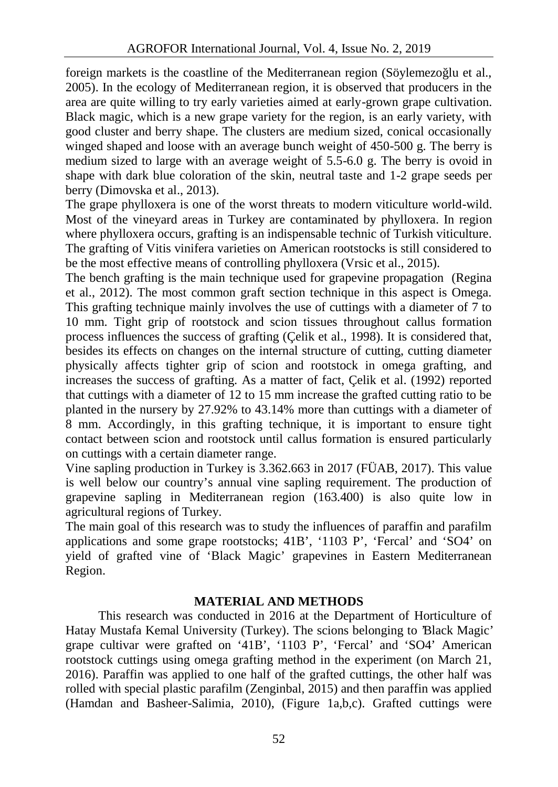foreign markets is the coastline of the Mediterranean region (Söylemezo lu et al., 2005). In the ecology of Mediterranean region, it is observed that producers in the area are quite willing to try early varieties aimed at early-grown grape cultivation. Black magic, which is a new grape variety for the region, is an early variety, with good cluster and berry shape. The clusters are medium sized, conical occasionally winged shaped and loose with an average bunch weight of 450-500 g. The berry is medium sized to large with an average weight of 5.5-6.0 g. The berry is ovoid in shape with dark blue coloration of the skin, neutral taste and 1-2 grape seeds per berry (Dimovska et al., 2013).

The grape phylloxera is one of the worst threats to modern viticulture world-wild. Most of the vineyard areas in Turkey are contaminated by phylloxera. In region where phylloxera occurs, grafting is an indispensable technic of Turkish viticulture. The grafting of Vitis vinifera varieties on American rootstocks is still considered to be the most effective means of controlling phylloxera (Vrsic et al., 2015).

The bench grafting is the main technique used for grapevine propagation (Regina et al., 2012). The most common graft section technique in this aspect is Omega. This grafting technique mainly involves the use of cuttings with a diameter of 7 to 10 mm. Tight grip of rootstock and scion tissues throughout callus formation process influences the success of grafting (Çelik et al., 1998). It is considered that, besides its effects on changes on the internal structure of cutting, cutting diameter physically affects tighter grip of scion and rootstock in omega grafting, and increases the success of grafting. As a matter of fact, Çelik et al. (1992) reported that cuttings with a diameter of 12 to 15 mm increase the grafted cutting ratio to be planted in the nursery by 27.92% to 43.14% more than cuttings with a diameter of 8 mm. Accordingly, in this grafting technique, it is important to ensure tight contact between scion and rootstock until callus formation is ensured particularly on cuttings with a certain diameter range.

Vine sapling production in Turkey is 3.362.663 in 2017 (FÜAB, 2017). This value is well below our country's annual vine sapling requirement. The production of grapevine sapling in Mediterranean region (163.400) is also quite low in agricultural regions of Turkey.

The main goal of this research was to study the influences of paraffin and parafilm applications and some grape rootstocks; 41B', '1103 P', 'Fercal' and 'SO4' on yield of grafted vine of 'Black Magic' grapevines in Eastern Mediterranean Region.

## **MATERIAL AND METHODS**

This research was conducted in 2016 at the Department of Horticulture of Hatay Mustafa Kemal University (Turkey). The scions belonging to 'Black Magic' grape cultivar were grafted on '41B', '1103 P', 'Fercal' and 'SO4' American rootstock cuttings using omega grafting method in the experiment (on March 21, 2016). Paraffin was applied to one half of the grafted cuttings, the other half was rolled with special plastic parafilm (Zenginbal, 2015) and then paraffin was applied (Hamdan and Basheer-Salimia, 2010), (Figure 1a,b,c). Grafted cuttings were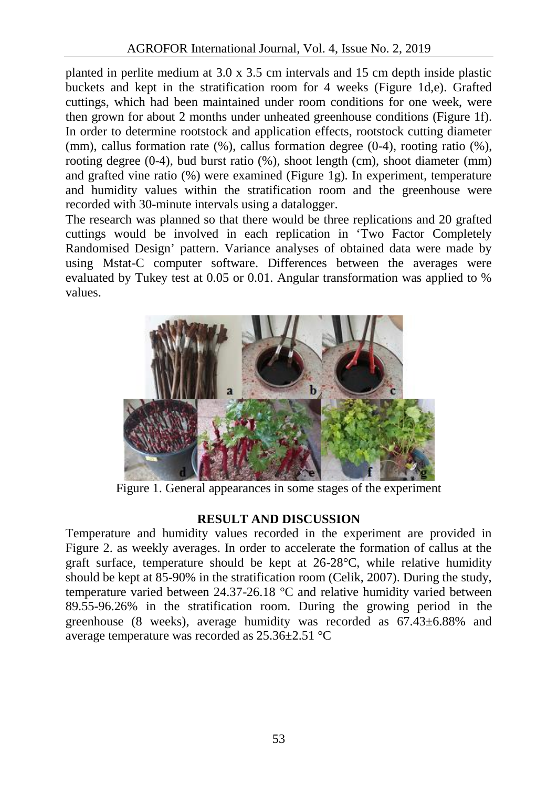planted in perlite medium at 3.0 x 3.5 cm intervals and 15 cm depth inside plastic buckets and kept in the stratification room for 4 weeks (Figure 1d,e). Grafted cuttings, which had been maintained under room conditions for one week, were then grown for about 2 months under unheated greenhouse conditions (Figure 1f). In order to determine rootstock and application effects, rootstock cutting diameter (mm), callus formation rate (%), callus formation degree (0-4), rooting ratio (%), rooting degree (0-4), bud burst ratio (%), shoot length (cm), shoot diameter (mm) and grafted vine ratio (%) were examined (Figure 1g). In experiment, temperature and humidity values within the stratification room and the greenhouse were recorded with 30-minute intervals using a datalogger.

The research was planned so that there would be three replications and 20 grafted cuttings would be involved in each replication in 'Two Factor Completely Randomised Design' pattern. Variance analyses of obtained data were made by using Mstat-C computer software. Differences between the averages were evaluated by Tukey test at 0.05 or 0.01. Angular transformation was applied to % values.



Figure 1. General appearances in some stages of the experiment

## **RESULT AND DISCUSSION**

Temperature and humidity values recorded in the experiment are provided in Figure 2. as weekly averages. In order to accelerate the formation of callus at the graft surface, temperature should be kept at 26-28°C, while relative humidity should be kept at 85-90% in the stratification room (Celik, 2007). During the study, temperature varied between 24.37-26.18 °C and relative humidity varied between 89.55-96.26% in the stratification room. During the growing period in the greenhouse (8 weeks), average humidity was recorded as 67.43±6.88% and average temperature was recorded as 25.36±2.51 °C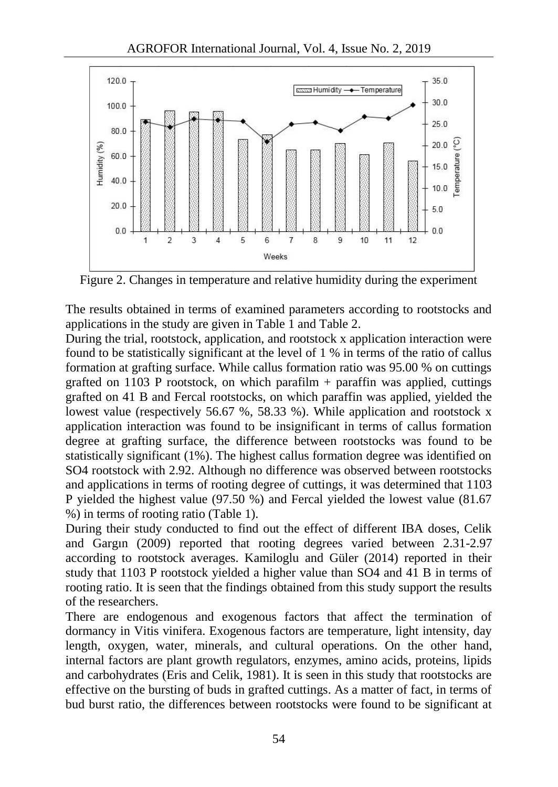

Figure 2. Changes in temperature and relative humidity during the experiment

The results obtained in terms of examined parameters according to rootstocks and applications in the study are given in Table 1 and Table 2.

During the trial, rootstock, application, and rootstock x application interaction were found to be statistically significant at the level of 1 % in terms of the ratio of callus formation at grafting surface. While callus formation ratio was 95.00 % on cuttings grafted on 1103 P rootstock, on which parafilm  $+$  parafilm was applied, cuttings grafted on 41 B and Fercal rootstocks, on which paraffin was applied, yielded the lowest value (respectively 56.67 %, 58.33 %). While application and rootstock x application interaction was found to be insignificant in terms of callus formation degree at grafting surface, the difference between rootstocks was found to be statistically significant (1%). The highest callus formation degree was identified on SO4 rootstock with 2.92. Although no difference was observed between rootstocks and applications in terms of rooting degree of cuttings, it was determined that 1103 P yielded the highest value (97.50 %) and Fercal yielded the lowest value (81.67 %) in terms of rooting ratio (Table 1).

During their study conducted to find out the effect of different IBA doses, Celik and Gargın (2009) reported that rooting degrees varied between 2.31-2.97 according to rootstock averages. Kamiloglu and Güler (2014) reported in their study that 1103 P rootstock yielded a higher value than SO4 and 41 B in terms of rooting ratio. It is seen that the findings obtained from this study support the results of the researchers.

There are endogenous and exogenous factors that affect the termination of dormancy in Vitis vinifera. Exogenous factors are temperature, light intensity, day length, oxygen, water, minerals, and cultural operations. On the other hand, internal factors are plant growth regulators, enzymes, amino acids, proteins, lipids and carbohydrates (Eris and Celik, 1981). It is seen in this study that rootstocks are effective on the bursting of buds in grafted cuttings. As a matter of fact, in terms of bud burst ratio, the differences between rootstocks were found to be significant at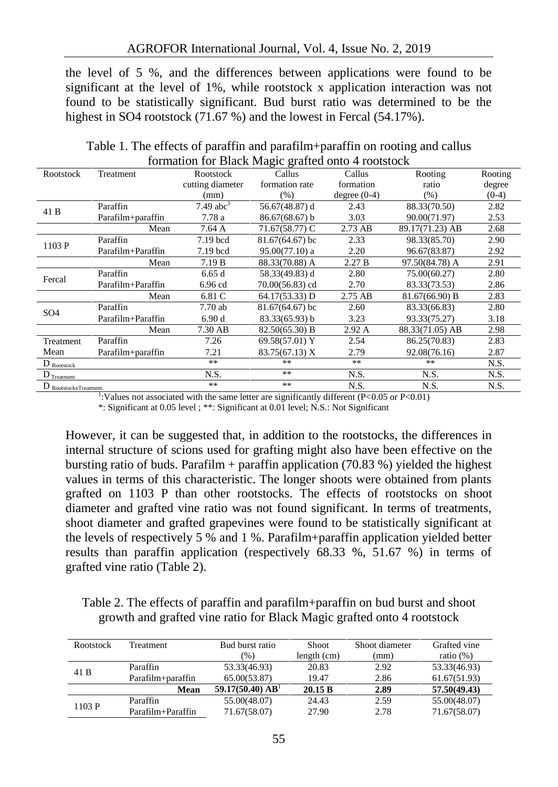the level of 5 %, and the differences between applications were found to be significant at the level of 1%, while rootstock x application interaction was not found to be statistically significant. Bud burst ratio was determined to be the highest in SO4 rootstock (71.67 %) and the lowest in Fercal (54.17%).

|                        |                   | formation for Diack magic graficulour + rootstock |                  |                |                 |         |
|------------------------|-------------------|---------------------------------------------------|------------------|----------------|-----------------|---------|
| Rootstock              | Treatment         | Rootstock                                         | Callus           | Callus         | Rooting         | Rooting |
|                        |                   | cutting diameter                                  | formation rate   | formation      | ratio           | degree  |
|                        |                   | (mm)                                              | (% )             | degree $(0-4)$ | (% )            | $(0-4)$ |
| 41 B                   | Paraffin          | $7.49$ abc <sup>1</sup>                           | 56.67(48.87) d   | 2.43           | 88.33(70.50)    | 2.82    |
|                        | Parafilm+paraffin | 7.78 a                                            | 86.67(68.67) b   | 3.03           | 90.00(71.97)    | 2.53    |
|                        | Mean              | 7.64 A                                            | 71.67(58.77) C   | 2.73 AB        | 89.17(71.23) AB | 2.68    |
|                        | Paraffin          | 7.19 bcd                                          | 81.67(64.67) bc  | 2.33           | 98.33(85.70)    | 2.90    |
| 1103 P                 | Parafilm+Paraffin | 7.19 bcd                                          | 95.00(77.10) a   | 2.20           | 96.67(83.87)    | 2.92    |
|                        | Mean              | 7.19 B                                            | 88.33(70.88) A   | 2.27 B         | 97.50(84.78) A  | 2.91    |
|                        | Paraffin          | 6.65d                                             | 58.33(49.83) d   | 2.80           | 75.00(60.27)    | 2.80    |
| Fercal                 | Parafilm+Paraffin | 6.96 cd                                           | 70.00(56.83) cd  | 2.70           | 83.33(73.53)    | 2.86    |
|                        | Mean              | 6.81 C                                            | 64.17(53.33) D   | 2.75 AB        | 81.67(66.90) B  | 2.83    |
|                        | Paraffin          | 7.70ab                                            | 81.67(64.67) bc  | 2.60           | 83.33(66.83)    | 2.80    |
| SO <sub>4</sub>        | Parafilm+Paraffin | 6.90d                                             | 83.33(65.93) b   | 3.23           | 93.33(75.27)    | 3.18    |
|                        | Mean              | 7.30 AB                                           | $82.50(65.30)$ B | 2.92A          | 88.33(71.05) AB | 2.98    |
| Treatment              | Paraffin          | 7.26                                              | 69.58(57.01) Y   | 2.54           | 86.25(70.83)    | 2.83    |
| Mean                   | Parafilm+paraffin | 7.21                                              | 83.75(67.13) X   | 2.79           | 92.08(76.16)    | 2.87    |
| $D_{Rootstock}$        |                   | **                                                | **               | **             | **              | N.S.    |
| $D_{Treatment}$        |                   | N.S.                                              | **               | N.S.           | N.S.            | N.S.    |
| D RootstockxTreatment. |                   | **                                                | **               | N.S.           | N.S.            | N.S.    |

Table 1. The effects of paraffin and parafilm+paraffin on rooting and callus formation for Black Magic grafted onto 4 rootstock

1 :Values not associated with the same letter are significantly different (P<0.05 or P<0.01)

\*: Significant at 0.05 level ; \*\*: Significant at 0.01 level; N.S.: Not Significant

However, it can be suggested that, in addition to the rootstocks, the differences in internal structure of scions used for grafting might also have been effective on the bursting ratio of buds. Parafilm + paraffin application  $(70.83\%)$  yielded the highest values in terms of this characteristic. The longer shoots were obtained from plants grafted on 1103 P than other rootstocks. The effects of rootstocks on shoot diameter and grafted vine ratio was not found significant. In terms of treatments, shoot diameter and grafted grapevines were found to be statistically significant at the levels of respectively 5 % and 1 %. Parafilm+paraffin application yielded better results than paraffin application (respectively 68.33 %, 51.67 %) in terms of grafted vine ratio (Table 2).

Table 2. The effects of paraffin and parafilm+paraffin on bud burst and shoot growth and grafted vine ratio for Black Magic grafted onto 4 rootstock

| Rootstock | Treatment         | Bud burst ratio     | Shoot       | Shoot diameter | Grafted vine |
|-----------|-------------------|---------------------|-------------|----------------|--------------|
|           |                   | $\frac{9}{6}$       | length (cm) | (mm)           | ratio $(\%)$ |
| 41 B      | Paraffin          | 53.33(46.93)        | 20.83       | 2.92           | 53.33(46.93) |
|           | Parafilm+paraffin | 65.00(53.87)        | 19.47       | 2.86           | 61.67(51.93) |
|           | Mean              | 59.17(50.40) $AB^1$ | 20.15 B     | 2.89           | 57.50(49.43) |
| 1103 P    | Paraffin          | 55.00(48.07)        | 24.43       | 2.59           | 55.00(48.07) |
|           | Parafilm+Paraffin | 71.67(58.07)        | 27.90       | 2.78           | 71.67(58.07) |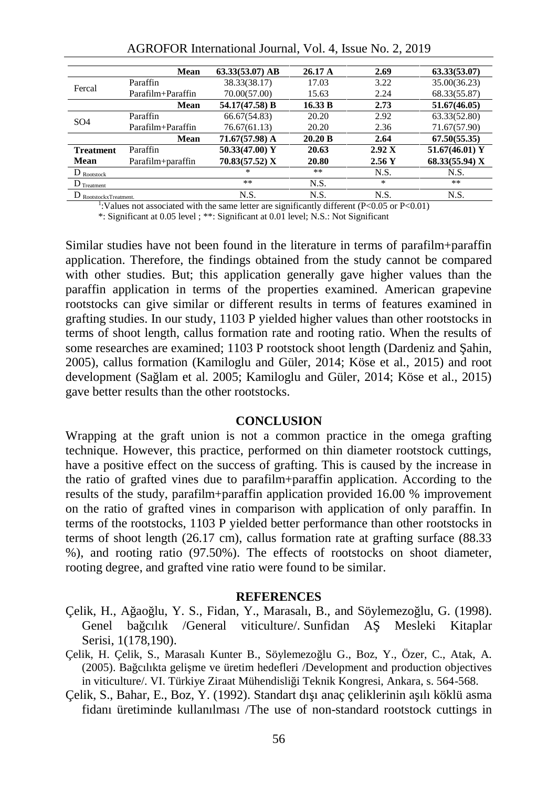|                          | Mean              | $63.33(53.07)$ AB | 26.17A  | 2.69   | 63.33(53.07)   |
|--------------------------|-------------------|-------------------|---------|--------|----------------|
| Fercal                   | Paraffin          | 38.33(38.17)      | 17.03   | 3.22   | 35.00(36.23)   |
|                          | Parafilm+Paraffin | 70.00(57.00)      | 15.63   | 2.24   | 68.33(55.87)   |
|                          | Mean              | 54.17(47.58) B    | 16.33 B | 2.73   | 51.67(46.05)   |
| SO <sub>4</sub>          | Paraffin          | 66.67(54.83)      | 20.20   | 2.92   | 63.33(52.80)   |
|                          | Parafilm+Paraffin | 76.67(61.13)      | 20.20   | 2.36   | 71.67(57.90)   |
|                          | Mean              | 71.67(57.98) A    | 20.20 B | 2.64   | 67.50(55.35)   |
| <b>Treatment</b>         | Paraffin          | 50.33(47.00) Y    | 20.63   | 2.92 X | 51.67(46.01) Y |
| Mean                     | Parafilm+paraffin | 70.83(57.52) X    | 20.80   | 2.56Y  | 68.33(55.94) X |
| $D_{\rm Rootstock}$      |                   | $*$               | **      | N.S.   | N.S.           |
| $D$ Treatment            |                   | **                | N.S.    | $\ast$ | **             |
| $D$ RootstockxTreatment. |                   | N.S.              | N.S.    | N.S.   | N.S.           |

AGROFOR International Journal, Vol. 4, Issue No. 2, 2019

<sup>1</sup>:Values not associated with the same letter are significantly different (P<0.05 or P<0.01)

\*: Significant at 0.05 level ; \*\*: Significant at 0.01 level; N.S.: Not Significant

Similar studies have not been found in the literature in terms of parafilm+paraffin application. Therefore, the findings obtained from the study cannot be compared with other studies. But; this application generally gave higher values than the paraffin application in terms of the properties examined. American grapevine rootstocks can give similar or different results in terms of features examined in grafting studies. In our study, 1103 P yielded higher values than other rootstocks in terms of shoot length, callus formation rate and rooting ratio. When the results of some researches are examined; 1103 P rootstock shoot length (Dardeniz and  $\alpha$ ahin, 2005), callus formation (Kamiloglu and Güler, 2014; Köse et al., 2015) and root development (Sağlam et al. 2005; Kamiloglu and Güler, 2014; Köse et al., 2015) gave better results than the other rootstocks.

#### **CONCLUSION**

Wrapping at the graft union is not a common practice in the omega grafting technique. However, this practice, performed on thin diameter rootstock cuttings, have a positive effect on the success of grafting. This is caused by the increase in the ratio of grafted vines due to parafilm+paraffin application. According to the results of the study, parafilm+paraffin application provided 16.00 % improvement on the ratio of grafted vines in comparison with application of only paraffin. In terms of the rootstocks, 1103 P yielded better performance than other rootstocks in terms of shoot length (26.17 cm), callus formation rate at grafting surface (88.33 %), and rooting ratio (97.50%). The effects of rootstocks on shoot diameter, rooting degree, and grafted vine ratio were found to be similar.

#### **REFERENCES**

- Çelik, H., A ao lu, Y. S., Fidan, Y., Marasalı, B., and Söylemezo lu, G. (1998). Genel baçcılık /General viticulture/. Sunfidan A Mesleki Kitaplar Serisi, 1(178,190).
- Çelik, H. Çelik, S., Marasalı Kunter B., Söylemezo lu G., Boz, Y., Özer, C., Atak, A. (2005). Ba cılıkta geli me ve üretim hedefleri /Development and production objectives in viticulture/. VI. Türkiye Ziraat Mühendisliği Teknik Kongresi, Ankara, s. 564-568.
- Çelik, S., Bahar, E., Boz, Y. (1992). Standart dışı anaç çeliklerinin aşılı köklü asma fidanı üretiminde kullanılması /The use of non-standard rootstock cuttings in